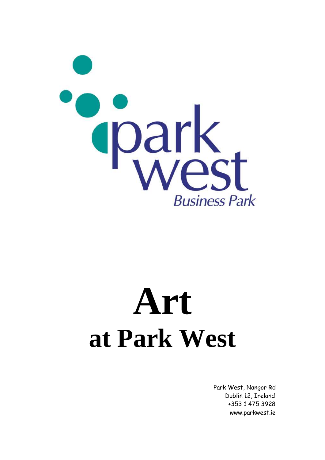

# **Art at Park West**

 Park West, Nangor Rd Dublin 12, Ireland +353 1 475 3928 www.parkwest.ie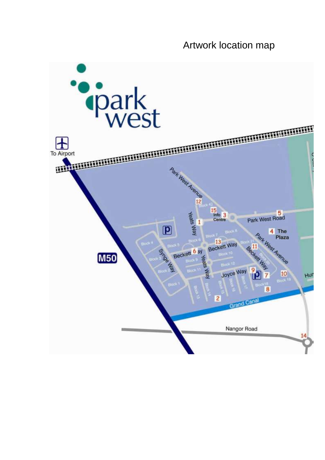### Artwork location map

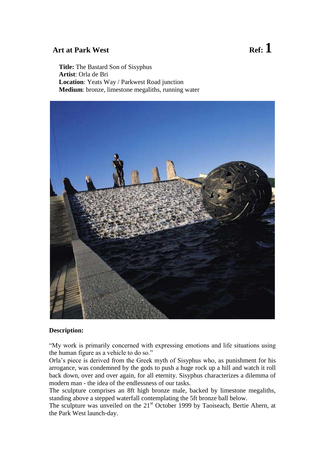**Title:** The Bastard Son of Sisyphus **Artist**: Orla de Bri **Location**: Yeats Way / Parkwest Road junction **Medium**: bronze, limestone megaliths, running water



#### **Description:**

"My work is primarily concerned with expressing emotions and life situations using the human figure as a vehicle to do so."

Orla's piece is derived from the Greek myth of Sisyphus who, as punishment for his arrogance, was condemned by the gods to push a huge rock up a hill and watch it roll back down, over and over again, for all eternity. Sisyphus characterizes a dilemma of modern man - the idea of the endlessness of our tasks.

The sculpture comprises an 8ft high bronze male, backed by limestone megaliths, standing above a stepped waterfall contemplating the 5ft bronze ball below.

The sculpture was unveiled on the 21<sup>st</sup> October 1999 by Taoiseach, Bertie Ahern, at the Park West launch-day.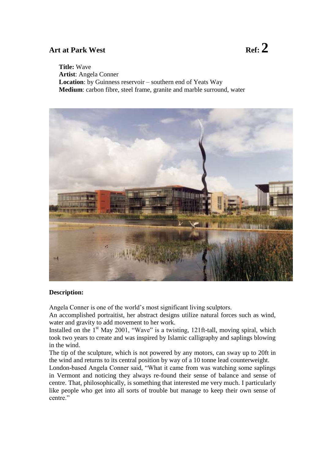**Title:** Wave **Artist**: Angela Conner **Location**: by Guinness reservoir – southern end of Yeats Way **Medium**: carbon fibre, steel frame, granite and marble surround, water



#### **Description:**

Angela Conner is one of the world's most significant living sculptors.

An accomplished portraitist, her abstract designs utilize natural forces such as wind, water and gravity to add movement to her work.

Installed on the  $1<sup>st</sup>$  May 2001, "Wave" is a twisting, 121ft-tall, moving spiral, which took two years to create and was inspired by Islamic calligraphy and saplings blowing in the wind.

The tip of the sculpture, which is not powered by any motors, can sway up to 20ft in the wind and returns to its central position by way of a 10 tonne lead counterweight.

London-based Angela Conner said, "What it came from was watching some saplings in Vermont and noticing they always re-found their sense of balance and sense of centre. That, philosophically, is something that interested me very much. I particularly like people who get into all sorts of trouble but manage to keep their own sense of centre."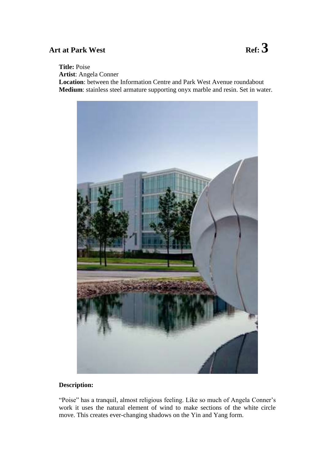## Art at Park West **Ref**: <sup>3</sup>

### **Title:** Poise

**Artist**: Angela Conner

**Location**: between the Information Centre and Park West Avenue roundabout **Medium**: stainless steel armature supporting onyx marble and resin. Set in water.



#### **Description:**

"Poise" has a tranquil, almost religious feeling. Like so much of Angela Conner's work it uses the natural element of wind to make sections of the white circle move. This creates ever-changing shadows on the Yin and Yang form.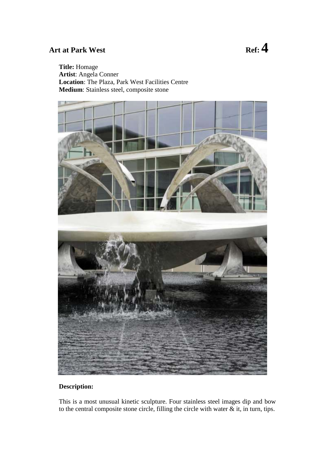### Art at Park West **Ref**:  $\frac{4}{100}$

### **Title:** Homage **Artist**: Angela Conner **Location**: The Plaza, Park West Facilities Centre **Medium**: Stainless steel, composite stone



### **Description:**

This is a most unusual kinetic sculpture. Four stainless steel images dip and bow to the central composite stone circle, filling the circle with water  $\&$  it, in turn, tips.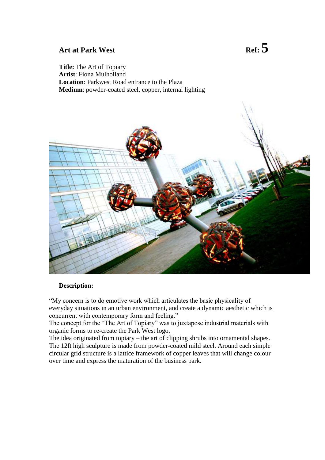**Title:** The Art of Topiary **Artist**: Fiona Mulholland **Location**: Parkwest Road entrance to the Plaza **Medium**: powder-coated steel, copper, internal lighting



#### **Description:**

"My concern is to do emotive work which articulates the basic physicality of everyday situations in an urban environment, and create a dynamic aesthetic which is concurrent with contemporary form and feeling."

The concept for the "The Art of Topiary" was to juxtapose industrial materials with organic forms to re-create the Park West logo.

The idea originated from topiary – the art of clipping shrubs into ornamental shapes. The 12ft high sculpture is made from powder-coated mild steel. Around each simple circular grid structure is a lattice framework of copper leaves that will change colour over time and express the maturation of the business park.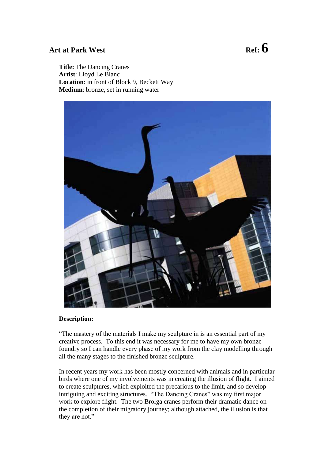**Title:** The Dancing Cranes **Artist**: Lloyd Le Blanc **Location**: in front of Block 9, Beckett Way **Medium**: bronze, set in running water



#### **Description:**

"The mastery of the materials I make my sculpture in is an essential part of my creative process. To this end it was necessary for me to have my own bronze foundry so I can handle every phase of my work from the clay modelling through all the many stages to the finished bronze sculpture.

In recent years my work has been mostly concerned with animals and in particular birds where one of my involvements was in creating the illusion of flight. I aimed to create sculptures, which exploited the precarious to the limit, and so develop intriguing and exciting structures. "The Dancing Cranes" was my first major work to explore flight. The two Brolga cranes perform their dramatic dance on the completion of their migratory journey; although attached, the illusion is that they are not."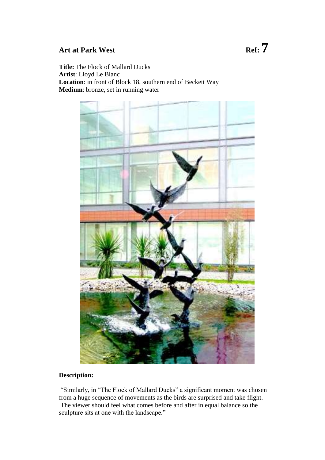**Title:** The Flock of Mallard Ducks **Artist**: Lloyd Le Blanc **Location**: in front of Block 18, southern end of Beckett Way **Medium**: bronze, set in running water



### **Description:**

"Similarly, in "The Flock of Mallard Ducks" a significant moment was chosen from a huge sequence of movements as the birds are surprised and take flight. The viewer should feel what comes before and after in equal balance so the sculpture sits at one with the landscape."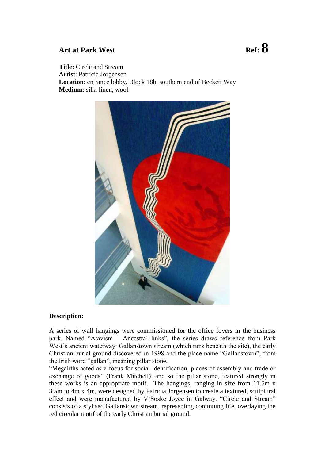**Title:** Circle and Stream **Artist**: Patricia Jorgensen **Location**: entrance lobby, Block 18b, southern end of Beckett Way **Medium**: silk, linen, wool



#### **Description:**

A series of wall hangings were commissioned for the office foyers in the business park. Named "Atavism – Ancestral links", the series draws reference from Park West's ancient waterway: Gallanstown stream (which runs beneath the site), the early Christian burial ground discovered in 1998 and the place name "Gallanstown", from the Irish word "gallan", meaning pillar stone.

"Megaliths acted as a focus for social identification, places of assembly and trade or exchange of goods" (Frank Mitchell), and so the pillar stone, featured strongly in these works is an appropriate motif. The hangings, ranging in size from 11.5m x 3.5m to 4m x 4m, were designed by Patricia Jorgensen to create a textured, sculptural effect and were manufactured by V'Soske Joyce in Galway. "Circle and Stream" consists of a stylised Gallanstown stream, representing continuing life, overlaying the red circular motif of the early Christian burial ground.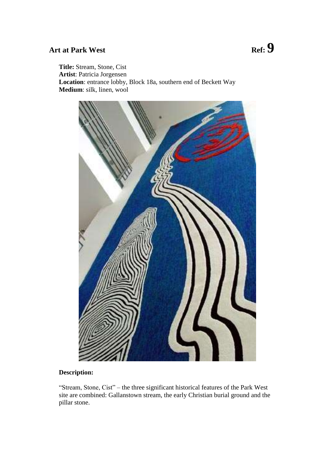**Title:** Stream, Stone, Cist **Artist**: Patricia Jorgensen **Location**: entrance lobby, Block 18a, southern end of Beckett Way **Medium**: silk, linen, wool



#### **Description:**

"Stream, Stone, Cist" – the three significant historical features of the Park West site are combined: Gallanstown stream, the early Christian burial ground and the pillar stone.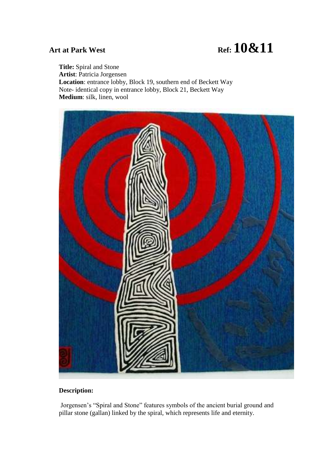**Title:** Spiral and Stone **Artist**: Patricia Jorgensen **Location**: entrance lobby, Block 19, southern end of Beckett Way Note- identical copy in entrance lobby, Block 21, Beckett Way **Medium**: silk, linen, wool



### **Description:**

Jorgensen's "Spiral and Stone" features symbols of the ancient burial ground and pillar stone (gallan) linked by the spiral, which represents life and eternity.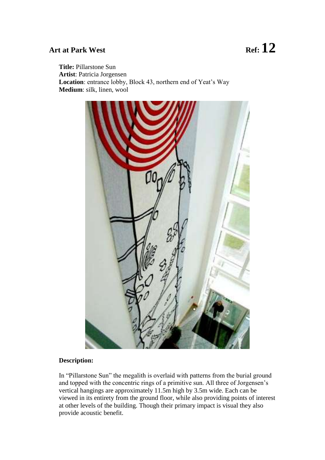**Title:** Pillarstone Sun **Artist**: Patricia Jorgensen **Location**: entrance lobby, Block 43, northern end of Yeat's Way **Medium**: silk, linen, wool



#### **Description:**

In "Pillarstone Sun" the megalith is overlaid with patterns from the burial ground and topped with the concentric rings of a primitive sun. All three of Jorgensen's vertical hangings are approximately 11.5m high by 3.5m wide. Each can be viewed in its entirety from the ground floor, while also providing points of interest at other levels of the building. Though their primary impact is visual they also provide acoustic benefit.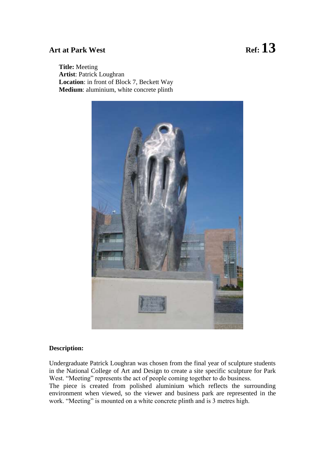**Title:** Meeting **Artist**: Patrick Loughran **Location**: in front of Block 7, Beckett Way **Medium**: aluminium, white concrete plinth



#### **Description:**

Undergraduate Patrick Loughran was chosen from the final year of sculpture students in the National College of Art and Design to create a site specific sculpture for Park West. "Meeting" represents the act of people coming together to do business. The piece is created from polished aluminium which reflects the surrounding

environment when viewed, so the viewer and business park are represented in the work. "Meeting" is mounted on a white concrete plinth and is 3 metres high.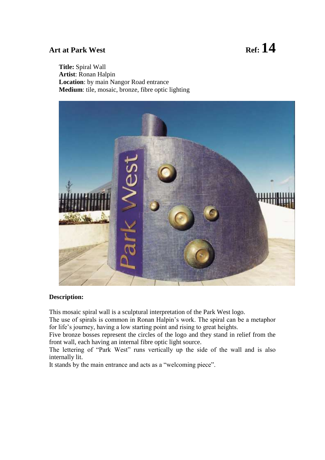#### **Title:** Spiral Wall **Artist**: Ronan Halpin **Location**: by main Nangor Road entrance **Medium**: tile, mosaic, bronze, fibre optic lighting



#### **Description:**

This mosaic spiral wall is a sculptural interpretation of the Park West logo.

The use of spirals is common in Ronan Halpin's work. The spiral can be a metaphor for life's journey, having a low starting point and rising to great heights.

Five bronze bosses represent the circles of the logo and they stand in relief from the front wall, each having an internal fibre optic light source.

The lettering of "Park West" runs vertically up the side of the wall and is also internally lit.

It stands by the main entrance and acts as a "welcoming piece".